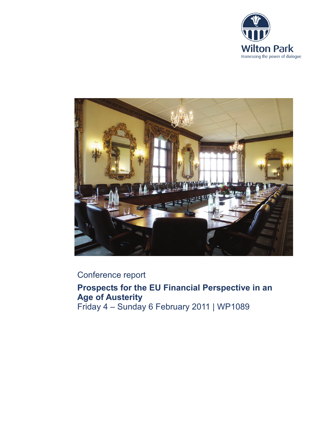



# Conference report

**Prospects for the EU Financial Perspective in an Age of Austerity** Friday 4 – Sunday 6 February 2011 | WP1089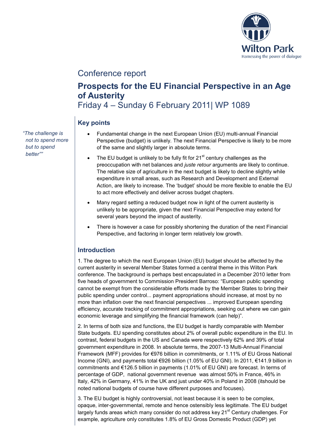

# Conference report

# **Prospects for the EU Financial Perspective in an Age of Austerity** Friday 4 – Sunday 6 February 2011| WP 1089

# **Key points**

- Fundamental change in the next European Union (EU) multi-annual Financial Perspective (budget) is unlikely. The next Financial Perspective is likely to be more of the same and slightly larger in absolute terms.
- The EU budget is unlikely to be fully fit for  $21<sup>st</sup>$  century challenges as the preoccupation with net balances and *juste retour* arguments are likely to continue. The relative size of agriculture in the next budget is likely to decline slightly while expenditure in small areas, such as Research and Development and External Action, are likely to increase. The 'budget' should be more flexible to enable the EU to act more effectively and deliver across budget chapters.
- Many regard setting a reduced budget now in light of the current austerity is unlikely to be appropriate, given the next Financial Perspective may extend for several years beyond the impact of austerity.
- There is however a case for possibly shortening the duration of the next Financial Perspective, and factoring in longer term relatively low growth.

## **Introduction**

1. The degree to which the next European Union (EU) budget should be affected by the current austerity in several Member States formed a central theme in this Wilton Park conference. The background is perhaps best encapsulated in a December 2010 letter from five heads of government to Commission President Barroso: "European public spending cannot be exempt from the considerable efforts made by the Member States to bring their public spending under control... payment appropriations should increase, at most by no more than inflation over the next financial perspectives ... improved European spending efficiency, accurate tracking of commitment appropriations, seeking out where we can gain economic leverage and simplifying the financial framework (can help)".

2. In terms of both size and functions, the EU budget is hardly comparable with Member State budgets. EU spending constitutes about 2% of overall public expenditure in the EU. In contrast, federal budgets in the US and Canada were respectively 62% and 39% of total government expenditure in 2008. In absolute terms, the 2007-13 Multi-Annual Financial Framework (MFF) provides for €976 billion in commitments, or 1.11% of EU Gross National Income (GNI), and payments total €926 billion (1.05% of EU GNI). In 2011, €141.9 billion in commitments and €126.5 billion in payments (1.01% of EU GNI) are forecast. In terms of percentage of GDP, national government revenue was almost 50% in France, 46% in Italy, 42% in Germany, 41% in the UK and just under 40% in Poland in 2008 (itshould be noted national budgets of course have different purposes and focuses).

3. The EU budget is highly controversial, not least because it is seen to be complex, opaque, inter-governmental, remote and hence ostensibly less legitimate. The EU budget largely funds areas which many consider do not address key 21<sup>st</sup> Century challenges. For example, agriculture only constitutes 1.8% of EU Gross Domestic Product (GDP) yet

*"The challenge is not to spend more but to spend better""*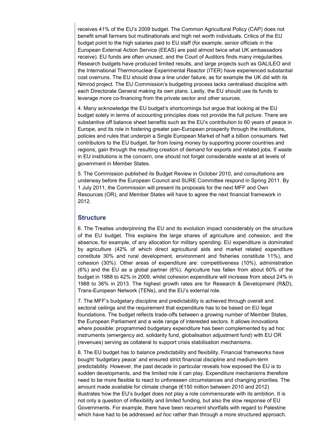receives 41% of the EU's 2009 budget. The Common Agricultural Policy (CAP) does not benefit small farmers but multinationals and high net worth individuals. Critics of the EU budget point to the high salaries paid to EU staff (for example, senior officials in the European External Action Service (EEAS) are paid almost twice what UK ambassadors receive). EU funds are often unused, and the Court of Auditors finds many irregularities. Research budgets have produced limited results, and large projects such as GALILEO and the International Thermonuclear Experimental Reactor (ITER) have experienced substantial cost overruns. The EU should draw a line under failure, as for example the UK did with its Nimrod project. The EU Commission's budgeting process lacks centralised discipline with each Directorate General making its own plans. Lastly, the EU should use its funds to leverage more co-financing from the private sector and other sources.

4. Many acknowledge the EU budget's shortcomings but argue that looking at the EU budget solely in terms of accounting principles does not provide the full picture. There are substantive off balance sheet benefits such as the EU's contribution to 60 years of peace in Europe, and its role in fostering greater pan-European prosperity through the institutions, policies and rules that underpin a Single European Market of half a billion consumers. Net contributors to the EU budget, far from losing money by supporting poorer countries and regions, gain through the resulting creation of demand for exports and related jobs. If waste in EU institutions is the concern, one should not forget considerable waste at all levels of government in Member States.

5. The Commission published its Budget Review in October 2010, and consultations are underway before the European Council and SURE Committee respond in Spring 2011. By 1 July 2011, the Commission will present its proposals for the next MFF and Own Resources (OR), and Member States will have to agree the next financial framework in 2012.

#### **Structure**

6. The Treaties underpinning the EU and its evolution impact considerably on the structure of the EU budget. This explains the large shares of agriculture and cohesion, and the absence, for example, of any allocation for military spending. EU expenditure is dominated by agriculture (42% of which direct agricultural aids and market related expenditure constitute 30% and rural development, environment and fisheries constitute 11%), and cohesion (30%). Other areas of expenditure are: competitiveness (10%), administration (6%) and the EU as a global partner (6%). Agriculture has fallen from about 60% of the budget in 1988 to 42% in 2009, whilst cohesion expenditure will increase from about 24% in 1988 to 36% in 2013. The highest growth rates are for Research & Development (R&D), Trans-European Network (TENs), and the EU's external role.

7. The MFF's budgetary discipline and predictability is achieved through overall and sectoral ceilings and the requirement that expenditure has to be based on EU legal foundations. The budget reflects trade-offs between a growing number of Member States, the European Parliament and a wide range of interested sectors. It allows innovations where possible: programmed budgetary expenditure has been complemented by ad hoc instruments (emergency aid, solidarity fund, globalisation adjustment fund) with EU OR (revenues) serving as collateral to support crisis stabilisation mechanisms.

8. The EU budget has to balance predictability and flexibility. Financial frameworks have bought 'budgetary peace' and ensured strict financial discipline and medium-term predictability. However, the past decade in particular reveals how exposed the EU is to sudden developments, and the limited role it can play. Expenditure mechanisms therefore need to be more flexible to react to unforeseen circumstances and changing priorities. The amount made available for climate change (€150 million between 2010 and 2012) illustrates how the EU's budget does not play a role commensurate with its ambition. It is not only a question of inflexibility and limited funding, but also the slow response of EU Governments. For example, there have been recurrent shortfalls with regard to Palestine which have had to be addressed *ad hoc* rather than through a more structured approach.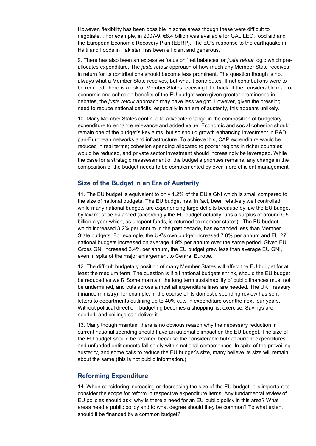However, flexibility has been possible in some areas though these were difficult to negotiate. . For example, in 2007-9, €8.4 billion was available for GALILEO, food aid and the European Economic Recovery Plan (EERP). The EU's response to the earthquake in Haiti and floods in Pakistan has been efficient and generous.

9. There has also been an excessive focus on 'net balances' or *juste retour* logic which preallocates expenditure. The *juste retour* approach of how much any Member State receives in return for its contributions should become less prominent. The question though is not always what a Member State receives, but what it contributes. If net contributions were to be reduced, there is a risk of Member States receiving little back. If the considerable macroeconomic and cohesion benefits of the EU budget were given greater prominence in debates, the *juste retour* approach may have less weight. However, given the pressing need to reduce national deficits, especially in an era of austerity, this appears unlikely.

10. Many Member States continue to advocate change in the composition of budgetary expenditure to enhance relevance and added value. Economic and social cohesion should remain one of the budget's key aims, but so should growth enhancing investment in R&D, pan-European networks and infrastructure. To achieve this, CAP expenditure would be reduced in real terms; cohesion spending allocated to poorer regions in richer countries would be reduced, and private sector investment should increasingly be leveraged. While the case for a strategic reassessment of the budget's priorities remains, any change in the composition of the budget needs to be complemented by ever more efficient management.

## **Size of the Budget in an Era of Austerity**

11. The EU budget is equivalent to only 1.2% of the EU's GNI which is small compared to the size of national budgets. The EU budget has, in fact, been relatively well controlled while many national budgets are experiencing large deficits because by law the EU budget by law must be balanced (accordingly the EU budget actually runs a surplus of around  $\epsilon$  5 billion a year which, as unspent funds, is returned to member states). The EU budget, which increased 3.2% per annum in the past decade, has expanded less than Member State budgets. For example, the UK's own budget increased 7.8% per annum and EU 27 national budgets increased on average 4.9% per annum over the same period. Given EU Gross GNI increased 3.4% per annum, the EU budget grew less than average EU GNI, even in spite of the major enlargement to Central Europe.

12. The difficult budgetary position of many Member States will affect the EU budget for at least the medium term. The question is if all national budgets shrink, should the EU budget be reduced as well? Some maintain the long term sustainability of public finances must not be undermined, and cuts across almost all expenditure lines are needed. The UK Treasury (finance ministry), for example, in the course of its domestic spending review has sent letters to departments outlining up to 40% cuts in expenditure over the next four years. Without political direction, budgeting becomes a shopping list exercise. Savings are needed, and ceilings can deliver it.

13. Many though maintain there is no obvious reason why the necessary reduction in current national spending should have an automatic impact on the EU budget. The size of the EU budget should be retained because the considerable bulk of current expenditures and unfunded entitlements fall solely within national competences. In spite of the prevailing austerity, and some calls to reduce the EU budget's size, many believe its size will remain about the same.(this is not public information.)

## **Reforming Expenditure**

14. When considering increasing or decreasing the size of the EU budget, it is important to consider the scope for reform in respective expenditure items. Any fundamental review of EU policies should ask: why is there a need for an EU public policy in this area? What areas need a public policy and to what degree should they be common? To what extent should it be financed by a common budget?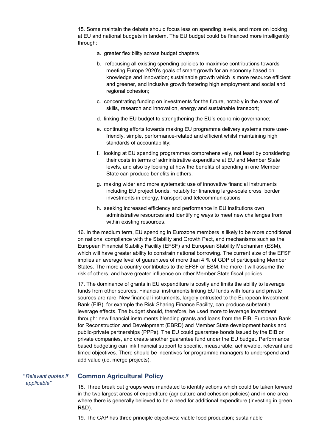15. Some maintain the debate should focus less on spending levels, and more on looking at EU and national budgets in tandem. The EU budget could be financed more intelligently through:

- a. greater flexibility across budget chapters
- b. refocusing all existing spending policies to maximise contributions towards meeting Europe 2020's goals of smart growth for an economy based on knowledge and innovation; sustainable growth which is more resource efficient and greener, and inclusive growth fostering high employment and social and regional cohesion;
- c. concentrating funding on investments for the future, notably in the areas of skills, research and innovation, energy and sustainable transport;
- d. linking the EU budget to strengthening the EU's economic governance;
- e. continuing efforts towards making EU programme delivery systems more userfriendly, simple, performance-related and efficient whilst maintaining high standards of accountability;
- f. looking at EU spending programmes comprehensively, not least by considering their costs in terms of administrative expenditure at EU and Member State levels, and also by looking at how the benefits of spending in one Member State can produce benefits in others.
- g. making wider and more systematic use of innovative financial instruments including EU project bonds, notably for financing large-scale cross border investments in energy, transport and telecommunications
- h. seeking increased efficiency and performance in EU institutions own administrative resources and identifying ways to meet new challenges from within existing resources.

16. In the medium term, EU spending in Eurozone members is likely to be more conditional on national compliance with the Stability and Growth Pact, and mechanisms such as the European Financial Stability Facility (EFSF) and European Stability Mechanism (ESM), which will have greater ability to constrain national borrowing. The current size of the EFSF implies an average level of guarantees of more than 4 % of GDP of participating Member States. The more a country contributes to the EFSF or ESM, the more it will assume the risk of others, and have greater influence on other Member State fiscal policies.

17. The dominance of grants in EU expenditure is costly and limits the ability to leverage funds from other sources. Financial instruments linking EU funds with loans and private sources are rare. New financial instruments, largely entrusted to the European Investment Bank (EIB), for example the Risk Sharing Finance Facility, can produce substantial leverage effects. The budget should, therefore, be used more to leverage investment through: new financial instruments blending grants and loans from the EIB, European Bank for Reconstruction and Development (EBRD) and Member State development banks and public-private partnerships (PPPs). The EU could guarantee bonds issued by the EIB or private companies, and create another guarantee fund under the EU budget. Performance based budgeting can link financial support to specific, measurable, achievable, relevant and timed objectives. There should be incentives for programme managers to underspend and add value (i.e. merge projects).

*" Relevant quotes if applicable"*

### **Common Agricultural Policy**

18. Three break out groups were mandated to identify actions which could be taken forward in the two largest areas of expenditure (agriculture and cohesion policies) and in one area where there is generally believed to be a need for additional expenditure (investing in green R&D).

19. The CAP has three principle objectives: viable food production; sustainable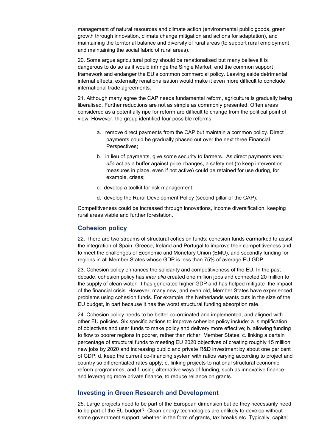management of natural resources and climate action (environmental public goods, green growth through innovation, climate change mitigation and actions for adaptation), and maintaining the territorial balance and diversity of rural areas (to support rural employment and maintaining the social fabric of rural areas).

20. Some argue agricultural policy should be renationalised but many believe it is dangerous to do so as it would infringe the Single Market, end the common support framework and endanger the EU's common commercial policy. Leaving aside detrimental internal effects, externally renationalisation would make it even more difficult to conclude international trade agreements.

21. Although many agree the CAP needs fundamental reform, agriculture is gradually being liberalised. Further reductions are not as simple as commonly presented. Often areas considered as a potentially ripe for reform are difficult to change from the political point of view. However, the group identified four possible reforms:

- a. remove direct payments from the CAP but maintain a common policy. Direct payments could be gradually phased out over the next three Financial Perspectives;
- b. in lieu of payments, give some security to farmers. As direct payments *inter alia* act as a buffer against price changes, a safety net (to keep intervention measures in place, even if not active) could be retained for use during, for example, crises;
- c. develop a toolkit for risk management;
- d. develop the Rural Development Policy (second pillar of the CAP).

Competitiveness could be increased through innovations, income diversification, keeping rural areas viable and further forestation.

## **Cohesion policy**

22. There are two streams of structural cohesion funds: cohesion funds earmarked to assist the integration of Spain, Greece, Ireland and Portugal to improve their competitiveness and to meet the challenges of Economic and Monetary Union (EMU), and secondly funding for regions in all Member States whose GDP is less than 75% of average EU GDP.

23. Cohesion policy enhances the solidarity and competitiveness of the EU. In the past decade, cohesion policy has *inter alia* created one million jobs and connected 20 million to the supply of clean water. It has generated higher GDP and has helped mitigate the impact of the financial crisis. However, many new, and even old, Member States have experienced problems using cohesion funds. For example, the Netherlands wants cuts in the size of the EU budget, in part because it has the worst structural funding absorption rate.

24. Cohesion policy needs to be better co-ordinated and implemented, and aligned with other EU policies. Six specific actions to improve cohesion policy include: a. simplification of objectives and user funds to make policy and delivery more effective; b. allowing funding to flow to poorer regions in poorer, rather than richer, Member States; c. linking a certain percentage of structural funds to meeting EU 2020 objectives of creating roughly 15 million new jobs by 2020 and increasing public and private R&D investment by about one per cent of GDP; d. keep the current co-financing system with ratios varying according to project and country so differentiated rates apply; e. linking projects to national structural economic reform programmes, and f. using alternative ways of funding, such as innovative finance and leveraging more private finance, to reduce reliance on grants.

## **Investing in Green Research and Development**

25. Large projects need to be part of the European dimension but do they necessarily need to be part of the EU budget? Clean energy technologies are unlikely to develop without some government support, whether in the form of grants, tax breaks etc. Typically, capital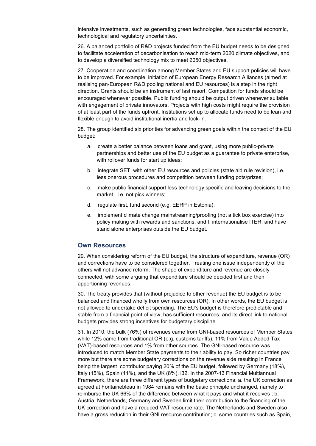intensive investments, such as generating green technologies, face substantial economic, technological and regulatory uncertainties.

26. A balanced portfolio of R&D projects funded from the EU budget needs to be designed to facilitate acceleration of decarbonisation to reach mid-term 2020 climate objectives, and to develop a diversified technology mix to meet 2050 objectives.

27. Cooperation and coordination among Member States and EU support policies will have to be improved. For example, initiation of European Energy Research Alliances (aimed at realising pan-European R&D pooling national and EU resources) is a step in the right direction. Grants should be an instrument of last resort. Competition for funds should be encouraged whenever possible. Public funding should be output driven whenever suitable with engagement of private innovators. Projects with high costs might require the provision of at least part of the funds upfront. Institutions set up to allocate funds need to be lean and flexible enough to avoid institutional inertia and lock-in.

28. The group identified six priorities for advancing green goals within the context of the EU budget:

- a. create a better balance between loans and grant, using more public-private partnerships and better use of the EU budget as a guarantee to private enterprise, with rollover funds for start up ideas;
- b. integrate SET with other EU resources and policies (state aid rule revision), i.e. less onerous procedures and competition between funding pots/prizes;
- c. make public financial support less technology specific and leaving decisions to the market, i.e. not pick winners:
- d. regulate first, fund second (e.g. EERP in Estonia);
- e. implement climate change mainstreaming/proofing (not a tick box exercise) into policy making with rewards and sanctions, and f. internationalise ITER, and have stand alone enterprises outside the EU budget.

#### **Own Resources**

29. When considering reform of the EU budget, the structure of expenditure, revenue (OR) and corrections have to be considered together. Treating one issue independently of the others will not advance reform. The shape of expenditure and revenue are closely connected, with some arguing that expenditure should be decided first and then apportioning revenues.

30. The treaty provides that (without prejudice to other revenue) the EU budget is to be balanced and financed wholly from own resources (OR). In other words, the EU budget is not allowed to undertake deficit spending. The EU's budget is therefore predictable and stable from a financial point of view; has sufficient resources; and its direct link to national budgets provides strong incentives for budgetary discipline.

31. In 2010, the bulk (76%) of revenues came from GNI-based resources of Member States while 12% came from traditional OR (e.g. customs tariffs), 11% from Value Added Tax (VAT)-based resources and 1% from other sources. The GNI-based resource was introduced to match Member State payments to their ability to pay. So richer countries pay more but there are some budgetary corrections on the revenue side resulting in France being the largest contributor paying 20% of the EU budget, followed by Germany (18%), Italy (15%), Spain (11%), and the UK (8%). l32. In the 2007-13 Financial Multiannual Framework, there are three different types of budgetary corrections: a. the UK correction as agreed at Fontainebleau in 1984 remains with the basic principle unchanged, namely to reimburse the UK 66% of the difference between what it pays and what it receives ; b. Austria, Netherlands, Germany and Sweden limit their contribution to the financing of the UK correction and have a reduced VAT resource rate. The Netherlands and Sweden also have a gross reduction in their GNI resource contribution; c. some countries such as Spain,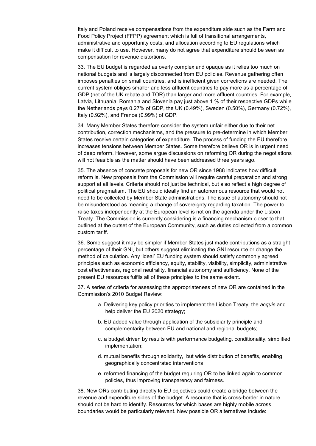Italy and Poland receive compensations from the expenditure side such as the Farm and Food Policy Project (FFPP) agreement which is full of transitional arrangements, administrative and opportunity costs, and allocation according to EU regulations which make it difficult to use. However, many do not agree that expenditure should be seen as compensation for revenue distortions.

33. The EU budget is regarded as overly complex and opaque as it relies too much on national budgets and is largely disconnected from EU policies. Revenue gathering often imposes penalties on small countries, and is inefficient given corrections are needed. The current system obliges smaller and less affluent countries to pay more as a percentage of GDP (net of the UK rebate and TOR) than larger and more affluent countries. For example, Latvia, Lithuania, Romania and Slovenia pay just above 1 % of their respective GDPs while the Netherlands pays 0.27% of GDP, the UK (0.49%), Sweden (0.50%), Germany (0.72%), Italy (0.92%), and France (0.99%) of GDP.

34. Many Member States therefore consider the system unfair either due to their net contribution, correction mechanisms, and the pressure to pre-determine in which Member States receive certain categories of expenditure. The process of funding the EU therefore increases tensions between Member States. Some therefore believe OR is in urgent need of deep reform. However, some argue discussions on reforming OR during the negotiations will not feasible as the matter should have been addressed three years ago.

35. The absence of concrete proposals for new OR since 1988 indicates how difficult reform is. New proposals from the Commission will require careful preparation and strong support at all levels. Criteria should not just be technical, but also reflect a high degree of political pragmatism. The EU should ideally find an autonomous resource that would not need to be collected by Member State administrations. The issue of autonomy should not be misunderstood as meaning a change of sovereignty regarding taxation. The power to raise taxes independently at the European level is not on the agenda under the Lisbon Treaty. The Commission is currently considering is a financing mechanism closer to that outlined at the outset of the European Community, such as duties collected from a common custom tariff.

36. Some suggest it may be simpler if Member States just made contributions as a straight percentage of their GNI, but others suggest eliminating the GNI resource or change the method of calculation. Any 'ideal' EU funding system should satisfy commonly agreed principles such as economic efficiency, equity, stability, visibility, simplicity, administrative cost effectiveness, regional neutrality, financial autonomy and sufficiency. None of the present EU resources fulfils all of these principles to the same extent.

37. A series of criteria for assessing the appropriateness of new OR are contained in the Commission's 2010 Budget Review:

- a. Delivering key policy priorities to implement the Lisbon Treaty, the *acquis* and help deliver the EU 2020 strategy;
- b. EU added value through application of the subsidiarity principle and complementarity between EU and national and regional budgets;
- c. a budget driven by results with performance budgeting, conditionality, simplified implementation;
- d. mutual benefits through solidarity, but wide distribution of benefits, enabling geographically concentrated interventions
- e. reformed financing of the budget requiring OR to be linked again to common policies, thus improving transparency and fairness.

38. New ORs contributing directly to EU objectives could create a bridge between the revenue and expenditure sides of the budget. A resource that is cross-border in nature should not be hard to identify. Resources for which bases are highly mobile across boundaries would be particularly relevant. New possible OR alternatives include: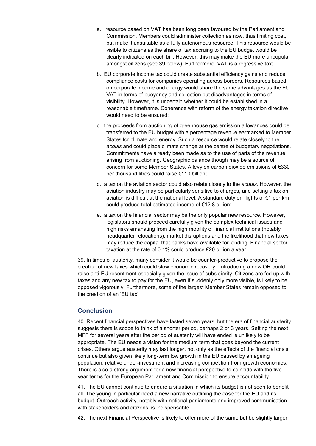- a. resource based on VAT has been long been favoured by the Parliament and Commission. Members could administer collection as now, thus limiting cost, but make it unsuitable as a fully autonomous resource. This resource would be visible to citizens as the share of tax accruing to the EU budget would be clearly indicated on each bill. However, this may make the EU more unpopular amongst citizens (see 39 below). Furthermore, VAT is a regressive tax;
- b. EU corporate income tax could create substantial efficiency gains and reduce compliance costs for companies operating across borders. Resources based on corporate income and energy would share the same advantages as the EU VAT in terms of buoyancy and collection but disadvantages in terms of visibility. However, it is uncertain whether it could be established in a reasonable timeframe. Coherence with reform of the energy taxation directive would need to be ensured;
- c. the proceeds from auctioning of greenhouse gas emission allowances could be transferred to the EU budget with a percentage revenue earmarked to Member States for climate and energy. Such a resource would relate closely to the *acquis* and could place climate change at the centre of budgetary negotiations. Commitments have already been made as to the use of parts of the revenue arising from auctioning. Geographic balance though may be a source of concern for some Member States. A levy on carbon dioxide emissions of €330 per thousand litres could raise €110 billion;
- d. a tax on the aviation sector could also relate closely to the *acquis*. However, the aviation industry may be particularly sensitive to charges, and setting a tax on aviation is difficult at the national level. A standard duty on flights of €1 per km could produce total estimated income of €12.8 billion;
- e. a tax on the financial sector may be the only popular new resource. However, legislators should proceed carefully given the complex technical issues and high risks emanating from the high mobility of financial institutions (notably headquarter relocations), market disruptions and the likelihood that new taxes may reduce the capital that banks have available for lending. Financial sector taxation at the rate of 0.1% could produce €20 billion a year.

39. In times of austerity, many consider it would be counter-productive to propose the creation of new taxes which could slow economic recovery. Introducing a new OR could raise anti-EU resentment especially given the issue of subsidiarity. Citizens are fed up with taxes and any new tax to pay for the EU, even if suddenly only more visible, is likely to be opposed vigorously. Furthermore, some of the largest Member States remain opposed to the creation of an 'EU tax'.

## **Conclusion**

40. Recent financial perspectives have lasted seven years, but the era of financial austerity suggests there is scope to think of a shorter period, perhaps 2 or 3 years. Setting the next MFF for several years after the period of austerity will have ended is unlikely to be appropriate. The EU needs a vision for the medium term that goes beyond the current crises. Others argue austerity may last longer, not only as the effects of the financial crisis continue but also given likely long-term low growth in the EU caused by an ageing population, relative under-investment and increasing competition from growth economies. There is also a strong argument for a new financial perspective to coincide with the five year terms for the European Parliament and Commission to ensure accountability.

41. The EU cannot continue to endure a situation in which its budget is not seen to benefit all. The young in particular need a new narrative outlining the case for the EU and its budget. Outreach activity, notably with national parliaments and improved communication with stakeholders and citizens, is indispensable.

42. The next Financial Perspective is likely to offer more of the same but be slightly larger